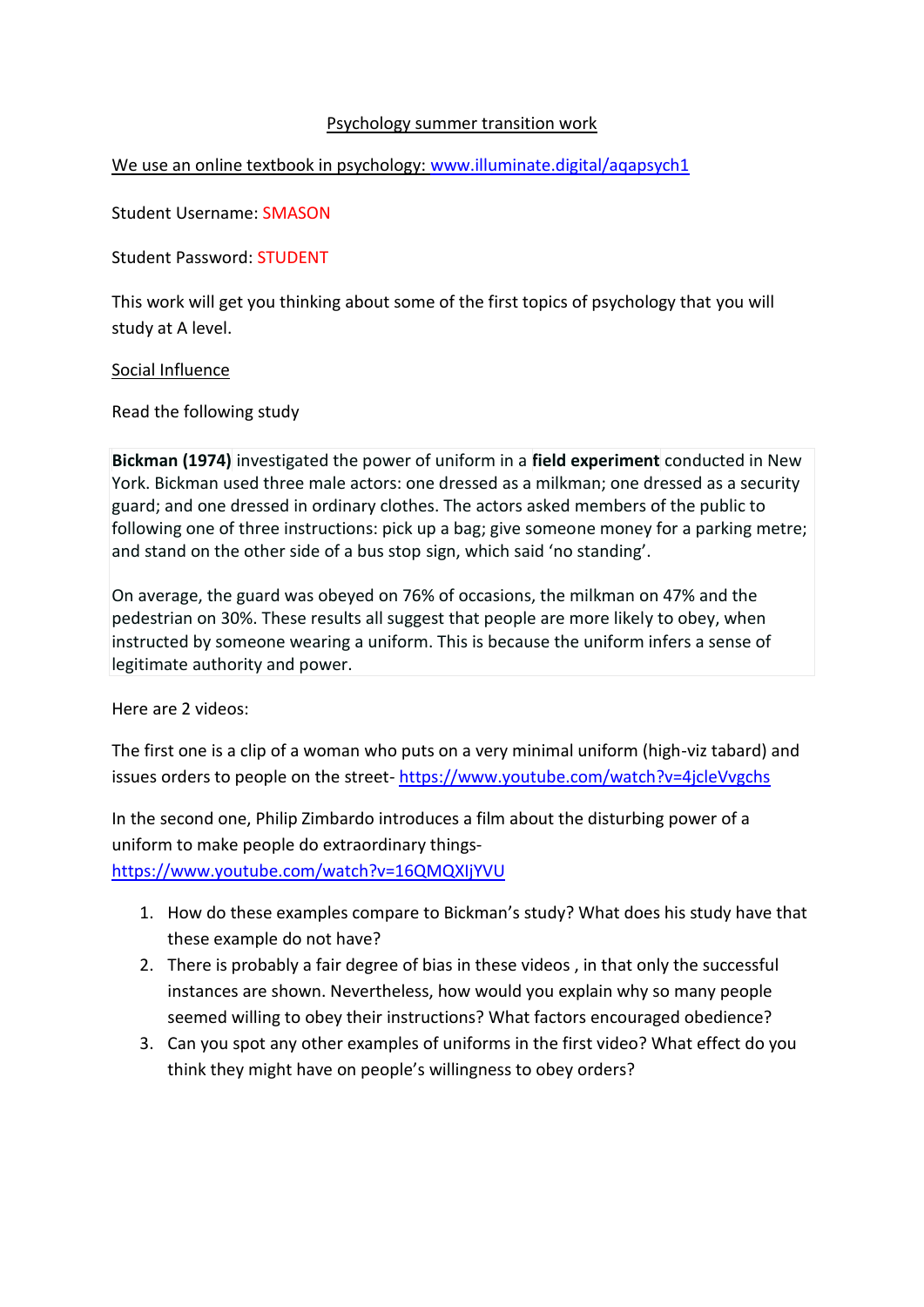# Psychology summer transition work

# We use an online textbook in psychology: [www.illuminate.digital/aqapsych1](http://www.illuminate.digital/aqapsych1)

Student Username: SMASON

Student Password: STUDENT

This work will get you thinking about some of the first topics of psychology that you will study at A level.

#### Social Influence

Read the following study

**Bickman (1974)** investigated the power of uniform in a **field experiment** conducted in New York. Bickman used three male actors: one dressed as a milkman; one dressed as a security guard; and one dressed in ordinary clothes. The actors asked members of the public to following one of three instructions: pick up a bag; give someone money for a parking metre; and stand on the other side of a bus stop sign, which said 'no standing'.

On average, the guard was obeyed on 76% of occasions, the milkman on 47% and the pedestrian on 30%. These results all suggest that people are more likely to obey, when instructed by someone wearing a uniform. This is because the uniform infers a sense of legitimate authority and power.

Here are 2 videos:

The first one is a clip of a woman who puts on a very minimal uniform (high-viz tabard) and issues orders to people on the street- <https://www.youtube.com/watch?v=4jcleVvgchs>

In the second one, Philip Zimbardo introduces a film about the disturbing power of a uniform to make people do extraordinary things-

<https://www.youtube.com/watch?v=16QMQXIjYVU>

- 1. How do these examples compare to Bickman's study? What does his study have that these example do not have?
- 2. There is probably a fair degree of bias in these videos , in that only the successful instances are shown. Nevertheless, how would you explain why so many people seemed willing to obey their instructions? What factors encouraged obedience?
- 3. Can you spot any other examples of uniforms in the first video? What effect do you think they might have on people's willingness to obey orders?